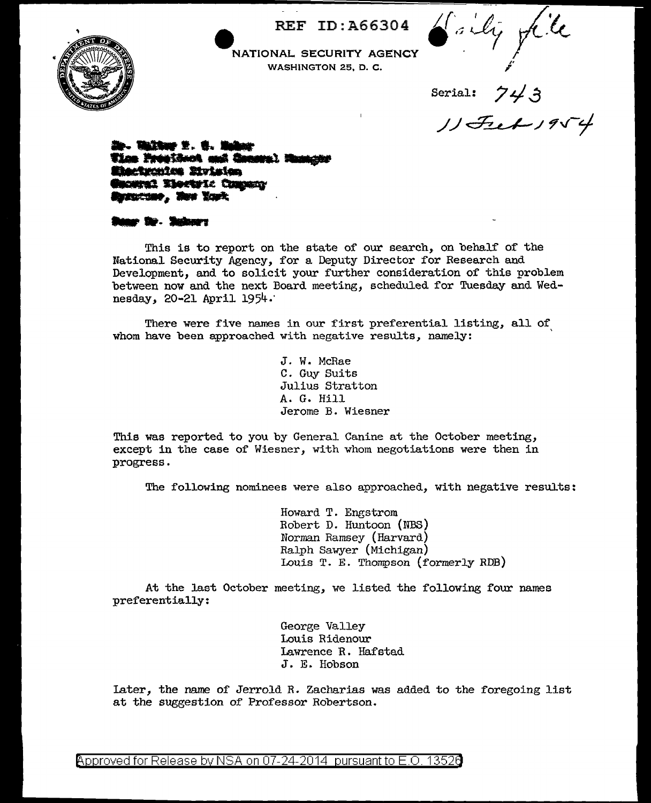**e** REF ID:A66304



NATIONAL SECURITY AGENCY WASHINGTON 25, D. C.

Saily file

Serial:  $743$ <br> $11954$ 

1**1. William 2. & Bullio Tice Prostinct onl innoval**<br>Microchies Mylsion<br>General Tierry: Company<br>Armitiee, Hee Yark

\_. •••• **<sup>f</sup>**

This is to report on the state of our search, on behalf of the National Security Agency, for a Deputy Director for Research and Development, and to solicit your further consideration of this problem between now and the next Board meeting, scheduled for Tuesday and Wednesday, 20-21 April 1954.·

There were five names in our first preferential listing, all of whom have been approached with negative results, namely:

> J. W. McRae C. Guy Suits Julius Stratton A. G. Hill Jerome B. Wiesner

This was reported to you by General Canine at the October meeting, except in the case of Wiesner, with whom negotiations were then in progress.

The following nominees were also approached, with negative results:

Howard T. Engstrom Robert D. Huntoon (NBS) Norman Ramsey {Harvard) Ralph Sawyer (Michigan) Louis T. E. Thompson (formerly RDB)

At the last October meeting, we listed the following four names preferentially:

> George Valley Louis Ridenour Lawrence R. Hafstad J. E. Hobson

Later, the name of Jerrold R. Zacharias was added to the foregoing list at the suggestion of Professor Robertson.

@'pproved for Release by NSA on 07-24-2014 pursuant to E.O. 1352e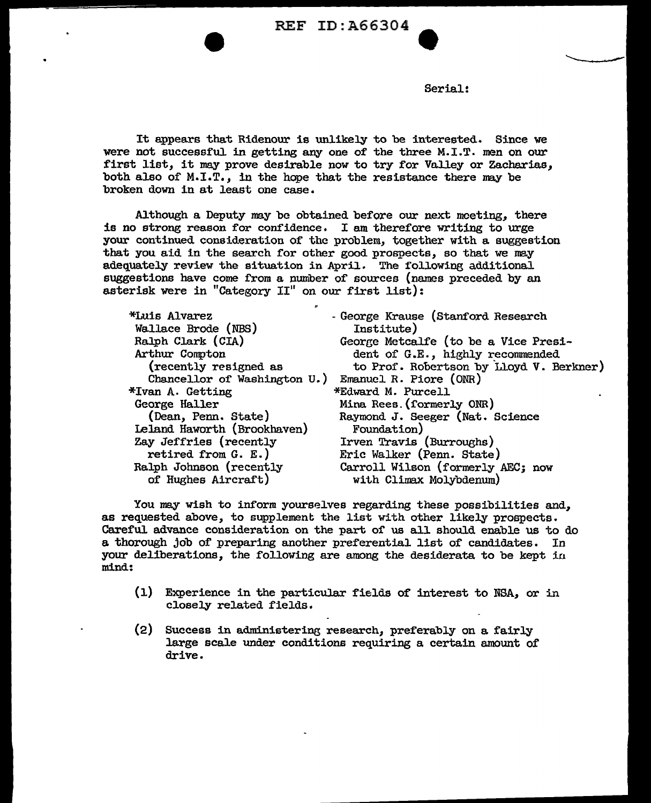REF ID: A66304

Serial:

It appears that Ridenour is unlikely to be interested. Since we were not successful in getting any one of the three M.I.T. men on our first list, it may prove desirable now to try for Valley or Zacharias, both also of  $M.I.T.,$  in the hope that the resistance there may be broken down in at least one case.

Although a Deputy may be obtained before our next meeting, there is no strong reason for conf'idence. I am therefore writing to urge your continued consideration of the problem, together with a suggestion that you aid in the search for other good prospects, so that *we* may adequately review the situation in April. The following additional suggestions have come from a number of sources (names preceded by an asterisk were in "Category II" on our first list):

| *Luis Alvarez<br>Wallace Brode (NBS)                | - George Krause (Stanford Research<br>Institute) |
|-----------------------------------------------------|--------------------------------------------------|
| Ralph Clark (CIA)                                   | George Metcalfe (to be a Vice Presi-             |
| Arthur Compton                                      | dent of G.E., highly recommended                 |
| (recently resigned as                               | to Prof. Robertson by Lloyd V. Berkner)          |
| Chancellor of Washington U.) Emanuel R. Piore (ONR) |                                                  |
| *Ivan A. Getting                                    | *Edward M. Purcell                               |
| George Haller                                       | Mina Rees. (formerly ONR)                        |
| (Dean, Penn. State)                                 | Raymond J. Seeger (Nat. Science                  |
| Leland Haworth (Brookhaven)                         | Foundation)                                      |
| Zay Jeffries (recently                              | Irven Travis (Burroughs)                         |
| retired from $G. E.$ )                              | Eric Walker (Penn. State)                        |
| Ralph Johnson (recently                             | Carroll Wilson (formerly AEC; now                |
| of Hughes Aircraft)                                 | with Climax Molybdenum)                          |

You may wish to inform yourselves regarding these possibilities and, as requested above, to supplement the list with other likely prospects. Careful advance consideration on the part of us all. should enable us to do a. thorough job of preparing another preferential list of candidates. In your deliberations, the following are among the desiderata to be kept in mind:

- (l) Experience in the particular fields of interest to NSA, or in closely related fields.
- (2) Success in administerine; research, preferably on a fairly large scale under conditions requiring a certain amount of drive.